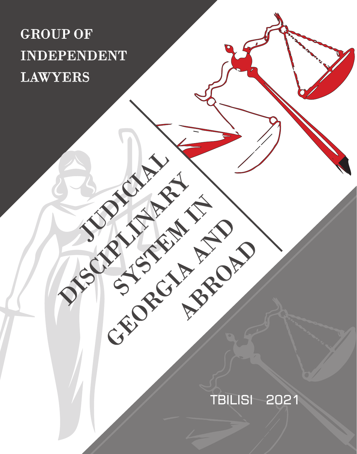## GROUP OF INDEPENDENT LAWYERS

JUDICIAL

DISCIPLINARY

SYSTEM IN

GEORGIA AND

**ABROAD** 

## TBILISI 2021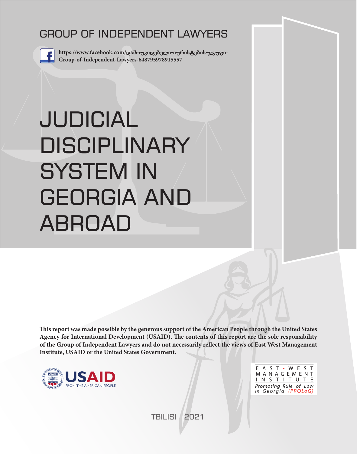## GROUP OF INDEPENDENT LAWYERS



**https://www.facebook.com/დამოუკიდებელი-იურისტების-ჯგუფი-Group-of-Independent-Lawyers-648795978915557**

# JUDICIAL DISCIPLINARY SYSTEM IN GEORGIA AND ABROAD

**This report was made possible by the generous support of the American People through the United States Agency for International Development (USAID). The contents of this report are the sole responsibility of the Group of Independent Lawyers and do not necessarily reflect the views of East West Management Institute, USAID or the United States Government.**



E A S T · W E S T MANAGEMENT INSTITUTE Promoting Rule of Law in Georgia (PROLoG)

TBILISI 2021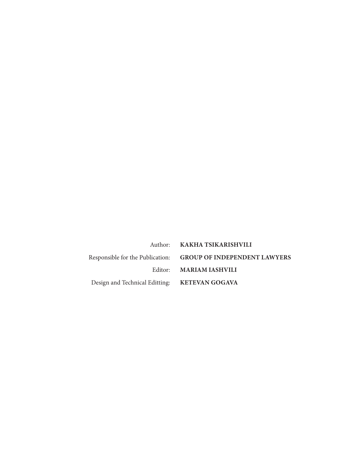|                                               | Author: KAKHA TSIKARISHVILI                                   |
|-----------------------------------------------|---------------------------------------------------------------|
|                                               | Responsible for the Publication: GROUP OF INDEPENDENT LAWYERS |
|                                               | Editor: MARIAM IASHVILI                                       |
| Design and Technical Editting: KETEVAN GOGAVA |                                                               |
|                                               |                                                               |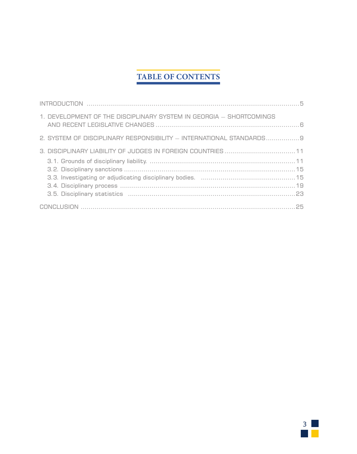## **TABLE OF CONTENTS**

| 1. DEVELOPMENT OF THE DISCIPLINARY SYSTEM IN GEORGIA - SHORTCOMINGS  |
|----------------------------------------------------------------------|
| 2. SYSTEM OF DISCIPLINARY RESPONSIBILITY - INTERNATIONAL STANDARDS 9 |
|                                                                      |
|                                                                      |
|                                                                      |

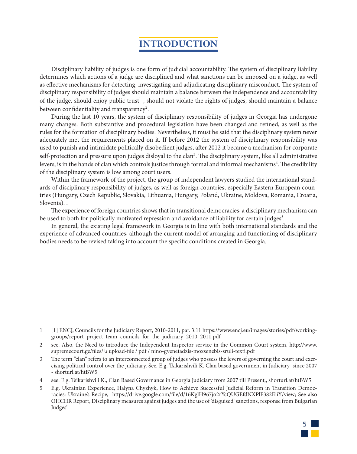## **INTRODUCTION**

Disciplinary liability of judges is one form of judicial accountability. The system of disciplinary liability determines which actions of a judge are disciplined and what sanctions can be imposed on a judge, as well as effective mechanisms for detecting, investigating and adjudicating disciplinary misconduct. The system of disciplinary responsibility of judges should maintain a balance between the independence and accountability of the judge, should enjoy public trust<sup>1</sup>, should not violate the rights of judges, should maintain a balance between confidentiality and transparency<sup>2</sup>.

During the last 10 years, the system of disciplinary responsibility of judges in Georgia has undergone many changes. Both substantive and procedural legislation have been changed and refined, as well as the rules for the formation of disciplinary bodies. Nevertheless, it must be said that the disciplinary system never adequately met the requirements placed on it. If before 2012 the system of disciplinary responsibility was used to punish and intimidate politically disobedient judges, after 2012 it became a mechanism for corporate self-protection and pressure upon judges disloyal to the clan<sup>3</sup>. The disciplinary system, like all administrative levers, is in the hands of clan which controls justice through formal and informal mechanisms<sup>4</sup>. The credibility of the disciplinary system is low among court users.

Within the framework of the project, the group of independent lawyers studied the international standards of disciplinary responsibility of judges, as well as foreign countries, especially Eastern European countries (Hungary, Czech Republic, Slovakia, Lithuania, Hungary, Poland, Ukraine, Moldova, Romania, Croatia, Slovenia). .

The experience of foreign countries shows that in transitional democracies, a disciplinary mechanism can be used to both for politically motivated repression and avoidance of liability for certain judges<sup>5</sup>.

In general, the existing legal framework in Georgia is in line with both international standards and the experience of advanced countries, although the current model of arranging and functioning of disciplinary bodies needs to be revised taking into account the specific conditions created in Georgia.

<sup>5</sup> E.g. Ukrainian Experience, Halyna Chyzhyk, How to Achieve Successful Judicial Reform in Transition Democracies: Ukraine's Recipe, https://drive.google.com/file/d/16KglH967jo2rYcQUGEfdNXPlF382EiiY/view; See also OHCHR Report, Disciplinary measures against judges and the use of 'disguised' sanctions, response from Bulgarian Judges'



<sup>1</sup> [1] ENCJ, Councils for the Judiciary Report, 2010-2011, par. 3.11 https://www.encj.eu/images/stories/pdf/workinggroups/report\_project\_team\_councils\_for\_the\_judiciary\_2010\_2011.pdf

<sup>2</sup> see. Also, the Need to introduce the Independent Inspector service in the Common Court system, http://www. supremecourt.ge/files/ ს upload-file / pdf / nino-gvenetadzis-moxsenebis-sruli-texti.pdf

<sup>3</sup> The term "clan" refers to an interconnected group of judges who possess the levers of governing the court and exercising political control over the judiciary. See. E.g. Tsikarishvili K. Clan based government in Judiciary since 2007 - shorturl.at/htBW5

<sup>4</sup> see. E.g. Tsikarishvili K., Clan Based Governance in Georgia Judiciary from 2007 till Present,, shorturl.at/htBW5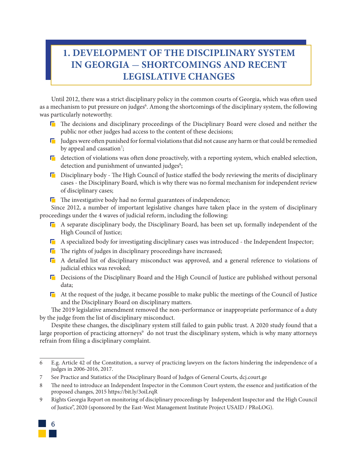## **1. DEVELOPMENT OF THE DISCIPLINARY SYSTEM IN GEORGIA** - **SHORTCOMINGS AND RECENT LEGISLATIVE CHANGES**

Until 2012, there was a strict disciplinary policy in the common courts of Georgia, which was often used as a mechanism to put pressure on judges<sup>6</sup>. Among the shortcomings of the disciplinary system, the following was particularly noteworthy.

- **T** The decisions and disciplinary proceedings of the Disciplinary Board were closed and neither the public nor other judges had access to the content of these decisions;
- **I** Judges were often punished for formal violations that did not cause any harm or that could be remedied by appeal and cassation<sup>7</sup>;
- $\blacksquare$  detection of violations was often done proactively, with a reporting system, which enabled selection, detection and punishment of unwanted judges<sup>8</sup>;
- $\Box$  Disciplinary body The High Council of Justice staffed the body reviewing the merits of disciplinary cases - the Disciplinary Board, which is why there was no formal mechanism for independent review of disciplinary cases;
- $\blacksquare$  The investigative body had no formal guarantees of independence;

Since 2012, a number of important legislative changes have taken place in the system of disciplinary proceedings under the 4 waves of judicial reform, including the following:

- $\blacksquare$  A separate disciplinary body, the Disciplinary Board, has been set up, formally independent of the High Council of Justice;
- $\blacksquare$  A specialized body for investigating disciplinary cases was introduced the Independent Inspector;
- $\blacksquare$  The rights of judges in disciplinary proceedings have increased;
- A detailed list of disciplinary misconduct was approved, and a general reference to violations of judicial ethics was revoked;
- Decisions of the Disciplinary Board and the High Council of Justice are published without personal data;
- $\blacksquare$  At the request of the judge, it became possible to make public the meetings of the Council of Justice and the Disciplinary Board on disciplinary matters.

The 2019 legislative amendment removed the non-performance or inappropriate performance of a duty by the judge from the list of disciplinary misconduct.

Despite these changes, the disciplinary system still failed to gain public trust. A 2020 study found that a large proportion of practicing attorneys<sup>9</sup> do not trust the disciplinary system, which is why many attorneys refrain from filing a disciplinary complaint.

<sup>9</sup> Rights Georgia Report on monitoring of disciplinary proceedings by Independent Inspector and the High Council of Justice", 2020 (sponsored by the East-West Management Institute Project USAID / PRoLOG).



<sup>6</sup> E.g. Article 42 of the Constitution, a survey of practicing lawyers on the factors hindering the independence of a judges in 2006-2016, 2017.

<sup>7</sup> See Practice and Statistics of the Disciplinary Board of Judges of General Courts, dcj.court.ge

<sup>8</sup> The need to introduce an Independent Inspector in the Common Court system, the essence and justification of the proposed changes, 2015 https://bit.ly/3oiLrqR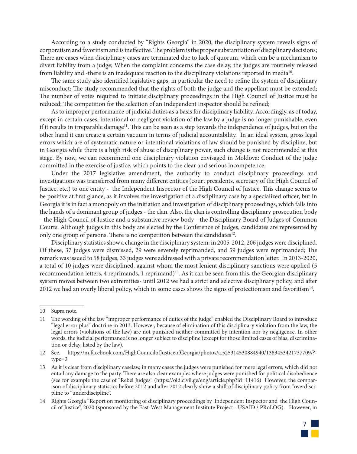According to a study conducted by "Rights Georgia" in 2020, the disciplinary system reveals signs of corporatism and favoritism and is ineffective. The problem is the proper substantiation of disciplinary decisions; There are cases when disciplinary cases are terminated due to lack of quorum, which can be a mechanism to divert liability from a judge; When the complaint concerns the case delay, the judges are routinely released from liability and -there is an inadequate reaction to the disciplinary violations reported in media<sup>10</sup>.

The same study also identified legislative gaps, in particular the need to refine the system of disciplinary misconduct; The study recommended that the rights of both the judge and the appellant must be extended; The number of votes required to initiate disciplinary proceedings in the High Council of Justice must be reduced; The competition for the selection of an Independent Inspector should be refined;

As to improper performance of judicial duties as a basis for disciplinary liability. Accordingly, as of today, except in certain cases, intentional or negligent violation of the law by a judge is no longer punishable, even if it results in irreparable damage<sup>11</sup>. This can be seen as a step towards the independence of judges, but on the other hand it can create a certain vacuum in terms of judicial accountability. In an ideal system, gross legal errors which are of systematic nature or intentional violations of law should be punished by discipline, but in Georgia while there is a high risk of abuse of disciplinary power, such change is not recommended at this stage. By now, we can recommend one disciplinary violation envisaged in Moldova: Conduct of the judge committed in the exercise of justice, which points to the clear and serious incompetence.

Under the 2017 legislative amendment, the authority to conduct disciplinary proceedings and investigations was transferred from many different entities (court presidents, secretary of the High Council of Justice, etc.) to one entity - the Independent Inspector of the High Council of Justice. This change seems to be positive at first glance, as it involves the investigation of a disciplinary case by a specialized officer, but in Georgia it is in fact a monopoly on the initiation and investigation of disciplinary proceedings, which falls into the hands of a dominant group of judges - the clan. Also, the clan is controlling disciplinary prosecution body - the High Council of Justice and a substantive review body - the Disciplinary Board of Judges of Common Courts. Although judges in this body are elected by the Conference of Judges, candidates are represented by only one group of persons. There is no competition between the candidates<sup>12</sup>.

Disciplinary statistics show a change in the disciplinary system: in 2005-2012, 206 judges were disciplined. Of these, 37 judges were dismissed, 29 were severely reprimanded, and 59 judges were reprimanded; The remark was issued to 58 judges, 33 judges were addressed with a private recommendation letter. In 2013-2020, a total of 10 judges were disciplined, against whom the most lenient disciplinary sanctions were applied (5 recommendation letters, 4 reprimands, 1 reprimand)<sup>13</sup>. As it can be seen from this, the Georgian disciplinary system moves between two extremities- until 2012 we had a strict and selective disciplinary policy, and after 2012 we had an overly liberal policy, which in some cases shows the signs of protectionism and favoritism<sup>14</sup>.

<sup>14</sup> Rights Georgia "Report on monitoring of disciplinary proceedings by Independent Inspector and the High Council of Justice", 2020 (sponsored by the East-West Management Institute Project - USAID / PRoLOG). However, in



<sup>10</sup> Supra note.

<sup>11</sup> The wording of the law "improper performance of duties of the judge" enabled the Disciplinary Board to introduce "legal error plus" doctrine in 2013. However, because of elimination of this disciplinary violation from the law, the legal errors (violations of the law) are not punished neither committed by intention nor by negligence. In other words, the judicial performance is no longer subject to discipline (except for those limited cases of bias, discrimination or delay, listed by the law).

<sup>12</sup> See. https://m.facebook.com/HighCouncilofJusticeofGeorgia/photos/a.525314530884940/1383453421737709/? type=3

<sup>13</sup> As it is clear from disciplinary caselaw, in many cases the judges were punished for mere legal errors, which did not entail any damage to the party. There are also clear examples where judges were punished for political disobedience (see for example the case of "Rebel Judges" (https://old.civil.ge/eng/article.php?id=11416) However, the comparison of disciplinary statistics before 2012 and after 2012 clearly show a shift of disciplinary policy from "overdiscipline to "underdiscipline".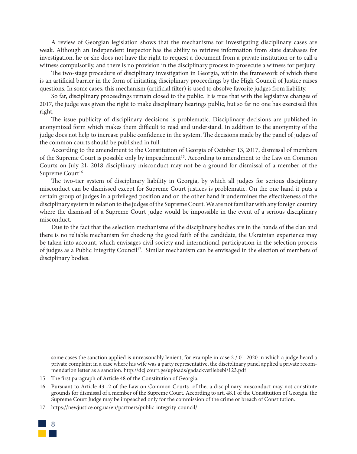A review of Georgian legislation shows that the mechanisms for investigating disciplinary cases are weak. Although an Independent Inspector has the ability to retrieve information from state databases for investigation, he or she does not have the right to request a document from a private institution or to call a witness compulsorily, and there is no provision in the disciplinary process to prosecute a witness for perjury

The two-stage procedure of disciplinary investigation in Georgia, within the framework of which there is an artificial barrier in the form of initiating disciplinary proceedings by the High Council of Justice raises questions. In some cases, this mechanism (artificial filter) is used to absolve favorite judges from liability.

So far, disciplinary proceedings remain closed to the public. It is true that with the legislative changes of 2017, the judge was given the right to make disciplinary hearings public, but so far no one has exercised this right.

The issue publicity of disciplinary decisions is problematic. Disciplinary decisions are published in anonymized form which makes them difficult to read and understand. In addition to the anonymity of the judge does not help to increase public confidence in the system. The decisions made by the panel of judges of the common courts should be published in full.

According to the amendment to the Constitution of Georgia of October 13, 2017, dismissal of members of the Supreme Court is possible only by impeachment<sup>15</sup>. According to amendment to the Law on Common Courts on July 21, 2018 disciplinary misconduct may not be a ground for dismissal of a member of the Supreme Court<sup>16</sup>

The two-tier system of disciplinary liability in Georgia, by which all judges for serious disciplinary misconduct can be dismissed except for Supreme Court justices is problematic. On the one hand it puts a certain group of judges in a privileged position and on the other hand it undermines the effectiveness of the disciplinary system in relation to the judges of the Supreme Court. We are not familiar with any foreign country where the dismissal of a Supreme Court judge would be impossible in the event of a serious disciplinary misconduct.

Due to the fact that the selection mechanisms of the disciplinary bodies are in the hands of the clan and there is no reliable mechanism for checking the good faith of the candidate, the Ukrainian experience may be taken into account, which envisages civil society and international participation in the selection process of judges as a Public Integrity Council<sup>17</sup>. Similar mechanism can be envisaged in the election of members of disciplinary bodies.

<sup>17</sup> https://newjustice.org.ua/en/partners/public-integrity-council/



some cases the sanction applied is unreasonably lenient, for example in case 2 / 01-2020 in which a judge heard a private complaint in a case where his wife was a party representative, the disciplinary panel applied a private recommendation letter as a sanction. http://dcj.court.ge/uploads/gadackvetilebebi/123.pdf

<sup>15</sup> The first paragraph of Article 48 of the Constitution of Georgia.

<sup>16</sup> Pursuant to Article 43 -2 of the Law on Common Courts of the, a disciplinary misconduct may not constitute grounds for dismissal of a member of the Supreme Court. According to art. 48.1 of the Constitution of Georgia, the Supreme Court Judge may be impeached only for the commission of the crime or breach of Constitution.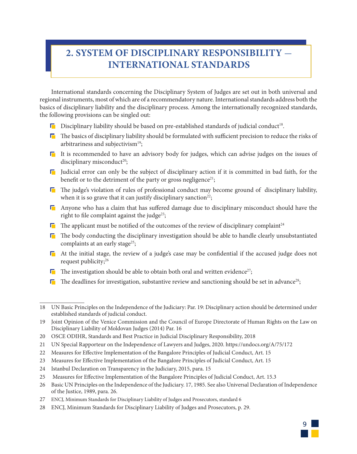## **2. SYSTEM OF DISCIPLINARY RESPONSIBILITY** - **INTERNATIONAL STANDARDS**

International standards concerning the Disciplinary System of Judges are set out in both universal and regional instruments, most of which are of a recommendatory nature. International standards address both the basics of disciplinary liability and the disciplinary process. Among the internationally recognized standards, the following provisions can be singled out:

- $\Gamma$  Disciplinary liability should be based on pre-established standards of judicial conduct<sup>18</sup>.
- $\Box$  The basics of disciplinary liability should be formulated with sufficient precision to reduce the risks of arbitrariness and subjectivism<sup>19</sup>;
- $\Gamma$  It is recommended to have an advisory body for judges, which can advise judges on the issues of disciplinary misconduct<sup>20</sup>;
- **I** Judicial error can only be the subject of disciplinary action if it is committed in bad faith, for the benefit or to the detriment of the party or gross negligence<sup>21</sup>;
- $\Gamma$  The judge's violation of rules of professional conduct may become ground of disciplinary liability, when it is so grave that it can justify disciplinary sanction<sup>22</sup>;
- $\Box$  Anyone who has a claim that has suffered damage due to disciplinary misconduct should have the right to file complaint against the judge<sup>23</sup>;
- $\Gamma$  The applicant must be notified of the outcomes of the review of disciplinary complaint<sup>24</sup>
- $\Gamma$  The body conducting the disciplinary investigation should be able to handle clearly unsubstantiated complaints at an early stage<sup>25</sup>;
- At the initial stage, the review of a judge's case may be confidential if the accused judge does not request publicity;<sup>26</sup>
- $\Gamma$  The investigation should be able to obtain both oral and written evidence<sup>27</sup>;
- $\Gamma$  The deadlines for investigation, substantive review and sanctioning should be set in advance<sup>28</sup>;

- 20 OSCE ODIHR, Standards and Best Practice in Judicial Disciplinary Responsibility, 2018
- 21 UN Special Rapporteur on the Independence of Lawyers and Judges, 2020. https://undocs.org/A/75/172
- 22 Measures for Effective Implementation of the Bangalore Principles of Judicial Conduct, Art. 15
- 23 Measures for Effective Implementation of the Bangalore Principles of Judicial Conduct, Art. 15
- 24 Istanbul Declaration on Transparency in the Judiciary, 2015, para. 15
- 25 Measures for Effective Implementation of the Bangalore Principles of Judicial Conduct, Art. 15.3
- 26 Basic UN Principles on the Independence of the Judiciary. 17, 1985. See also Universal Declaration of Independence of the Justice, 1989, para. 26.

9

- 27 ENCJ, Minimum Standards for Disciplinary Liability of Judges and Prosecutors, standard 6
- 28 ENCJ, Minimum Standards for Disciplinary Liability of Judges and Prosecutors, p. 29.

<sup>18</sup> UN Basic Principles on the Independence of the Judiciary: Par. 19: Disciplinary action should be determined under established standards of judicial conduct.

<sup>19</sup> Joint Opinion of the Venice Commission and the Council of Europe Directorate of Human Rights on the Law on Disciplinary Liability of Moldovan Judges (2014) Par. 16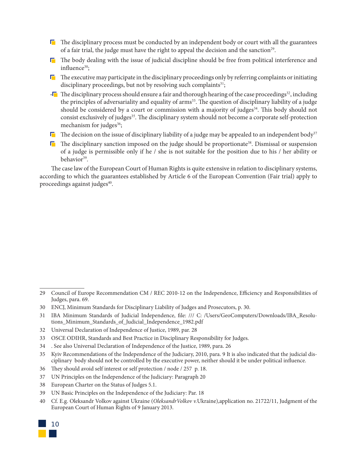- $\Gamma$  The disciplinary process must be conducted by an independent body or court with all the guarantees of a fair trial, the judge must have the right to appeal the decision and the sanction<sup>29</sup>.
- The body dealing with the issue of judicial discipline should be free from political interference and influence $30$ :
- $\Gamma$  The executive may participate in the disciplinary proceedings only by referring complaints or initiating disciplinary proceedings, but not by resolving such complaints $31$ ;
- $\Box$  The disciplinary process should ensure a fair and thorough hearing of the case proceedings<sup>32</sup>, including the principles of adversariality and equality of arms<sup>33</sup>. The question of disciplinary liability of a judge should be considered by a court or commission with a majority of judges<sup>34</sup>. This body should not consist exclusively of judges<sup>35</sup>. The disciplinary system should not become a corporate self-protection mechanism for judges<sup>36</sup>;
- $\Gamma$  The decision on the issue of disciplinary liability of a judge may be appealed to an independent body<sup>37</sup>
- $\Gamma$  The disciplinary sanction imposed on the judge should be proportionate<sup>38</sup>. Dismissal or suspension of a judge is permissible only if he / she is not suitable for the position due to his / her ability or behavior<sup>39</sup>.

The case law of the European Court of Human Rights is quite extensive in relation to disciplinary systems, according to which the guarantees established by Article 6 of the European Convention (Fair trial) apply to proceedings against judges $40$ .

- 31 IBA Minimum Standards of Judicial Independence, file: /// C: /Users/GeoComputers/Downloads/IBA\_Resolutions\_Minimum\_Standards\_of\_Judicial\_Independence\_1982.pdf
- 32 Universal Declaration of Independence of Justice, 1989, par. 28
- 33 OSCE ODIHR, Standards and Best Practice in Disciplinary Responsibility for Judges.
- 34 . See also Universal Declaration of Independence of the Justice, 1989, para. 26
- 35 Kyiv Recommendations of the Independence of the Judiciary, 2010, para. 9 It is also indicated that the judicial disciplinary body should not be controlled by the executive power, neither should it be under political influence.
- 36 They should avoid self interest or self protection / node / 257 p. 18.
- 37 UN Principles on the Independence of the Judiciary: Paragraph 20
- 38 European Charter on the Status of Judges 5.1.
- 39 UN Basic Principles on the Independence of the Judiciary: Par. 18
- 40 Cf. E.g. Oleksandr Volkov against Ukraine (*OleksandrVolkov v.*Ukraine),application no. 21722/11, Judgment of the European Court of Human Rights of 9 January 2013.



<sup>29</sup> Council of Europe Recommendation CM / REC 2010-12 on the Independence, Efficiency and Responsibilities of Judges, para. 69.

<sup>30</sup> ENCJ, Minimum Standards for Disciplinary Liability of Judges and Prosecutors, p. 30.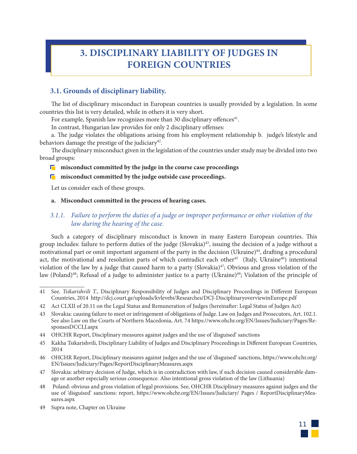## **3. DISCIPLINARY LIABILITY OF JUDGES IN FOREIGN COUNTRIES**

#### **3.1. Grounds of disciplinary liability.**

The list of disciplinary misconduct in European countries is usually provided by a legislation. In some countries this list is very detailed, while in others it is very short.

For example, Spanish law recognizes more than 30 disciplinary offences<sup>41</sup>.

In contrast, Hungarian law provides for only 2 disciplinary offenses:

a. The judge violates the obligations arising from his employment relationship b. judge's lifestyle and behaviors damage the prestige of the judiciary<sup>42</sup>.

The disciplinary misconduct given in the legislation of the countries under study may be divided into two broad groups:

#### **<u>misconduct committed by the judge in the course case proceedings</u>**

#### **<u>misconduct committed by the judge outside case proceedings.</u>**

Let us consider each of these groups.

#### **a. Misconduct committed in the process of hearing cases.**

#### *3.1.1. Failure to perform the duties of a judge or improper performance or other violation of the law during the hearing of the case.*

Such a category of disciplinary misconduct is known in many Eastern European countries. This group includes: failure to perform duties of the judge (Slovakia)<sup>43</sup>, issuing the decision of a judge without a motivational part or omit important argument of the party in the decision (Ukraine)<sup>44</sup>, drafting a procedural act, the motivational and resolution parts of which contradict each other<sup>45</sup> (Italy, Ukraine<sup>46</sup>) intentional violation of the law by a judge that caused harm to a party (Slovakia)<sup>47</sup>; Obvious and gross violation of the law (Poland)<sup>48</sup>; Refusal of a judge to administer justice to a party (Ukraine)<sup>49</sup>; Violation of the principle of



<sup>41</sup> See. *Tsikarishvili T.*, Disciplinary Responsibility of Judges and Disciplinary Proceedings in Different European Countries, 2014 http://dcj.court.ge/uploads/kvlevebi/Researches/DCJ-DisciplinaryoverviewinEurope.pdf

<sup>42</sup> Act CLXII of 20.11 on the Legal Status and Remuneration of Judges (hereinafter: Legal Status of Judges Act)

<sup>43</sup> Slovakia: causing failure to meet or infringement of obligations of Judge. Law on Judges and Prosecutors, Art. 102.1. See also Law on the Courts of Northern Macedonia, Art. 74 https://www.ohchr.org/EN/Issues/Judiciary/Pages/ResponsesDCCLJ.aspx

<sup>44</sup> OHCHR Report, Disciplinary measures against judges and the use of 'disguised' sanctions

<sup>45</sup> Kakha Tsikarishvili, Disciplinary Liability of Judges and Disciplinary Proceedings in Different European Countries, 2014

<sup>46</sup> OHCHR Report, Disciplinary measures against judges and the use of 'disguised' sanctions, https://www.ohchr.org/ EN/Issues/Judiciary/Pages/ReportDisciplinaryMeasures.aspx

<sup>47</sup> Slovakia: arbitrary decision of Judge, which is in contradiction with law, if such decision caused considerable damage or another especially serious consequence. Also intentional gross violation of the law (Lithuania)

<sup>48</sup> Poland: obvious and gross violation of legal provisions. See, OHCHR Disciplinary measures against judges and the use of 'disguised' sanctions: report, https://www.ohchr.org/EN/Issues/Judiciary/ Pages / ReportDisciplinaryMeasures.aspx

<sup>49</sup> Supra note, Chapter on Ukraine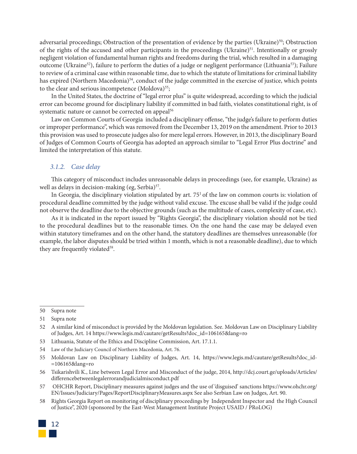adversarial proceedings; Obstruction of the presentation of evidence by the parties (Ukraine) $50$ ; Obstruction of the rights of the accused and other participants in the proceedings (Ukraine) $51$ . Intentionally or grossly negligent violation of fundamental human rights and freedoms during the trial, which resulted in a damaging outcome (Ukraine<sup>52</sup>), failure to perform the duties of a judge or negligent performance (Lithuania<sup>53</sup>); Failure to review of a criminal case within reasonable time, due to which the statute of limitations for criminal liability has expired (Northern Macedonia)<sup>54</sup>, conduct of the judge committed in the exercise of justice, which points to the clear and serious incompetence (Moldova)<sup>55</sup>;

In the United States, the doctrine of "legal error plus" is quite widespread, according to which the judicial error can become ground for disciplinary liability if committed in bad faith, violates constitutional right, is of systematic nature or cannot be corrected on appeal<sup>56</sup>

Law on Common Courts of Georgia included a disciplinary offense, "the judge's failure to perform duties or improper performance", which was removed from the December 13, 2019 on the amendment. Prior to 2013 this provision was used to prosecute judges also for mere legal errors. However, in 2013, the disciplinary Board of Judges of Common Courts of Georgia has adopted an approach similar to "Legal Error Plus doctrine" and limited the interpretation of this statute.

#### *3.1.2. Case delay*

This category of misconduct includes unreasonable delays in proceedings (see, for example, Ukraine) as well as delays in decision-making (eg, Serbia) $57$ .

In Georgia, the disciplinary violation stipulated by art.  $75<sup>1</sup>$  of the law on common courts is: violation of procedural deadline committed by the judge without valid excuse. The excuse shall be valid if the judge could not observe the deadline due to the objective grounds (such as the multitude of cases, complexity of case, etc).

As it is indicated in the report issued by "Rights Georgia", the disciplinary violation should not be tied to the procedural deadlines but to the reasonable times. On the one hand the case may be delayed even within statutory timeframes and on the other hand, the statutory deadlines are themselves unreasonable (for example, the labor disputes should be tried within 1 month, which is not a reasonable deadline), due to which they are frequently violated<sup>58</sup>.

<sup>58</sup> Rights Georgia Report on monitoring of disciplinary proceedings by Independent Inspector and the High Council of Justice", 2020 (sponsored by the East-West Management Institute Project USAID / PRoLOG)



<sup>50</sup> Supra note

<sup>51</sup> Supra note

<sup>52</sup> A similar kind of misconduct is provided by the Moldovan legislation. See. Moldovan Law on Disciplinary Liability of Judges, Art. 14 https://www.legis.md/cautare/getResults?doc\_id=106165&lang=ro

<sup>53</sup> Lithuania, Statute of the Ethics and Discipline Commission, Art. 17.1.1.

<sup>54</sup> Law of the Judiciary Council of Northern Macedonia, Art. 76.

<sup>55</sup> Moldovan Law on Disciplinary Liability of Judges, Art. 14, https://www.legis.md/cautare/getResults?doc\_id- =106165&lang=ro

<sup>56</sup> Tsikarishvili K., Line between Legal Error and Misconduct of the judge, 2014, http://dcj.court.ge/uploads/Articles/ differencebetweenlegalerrorandjudicialmisconduct.pdf

<sup>57</sup> OHCHR Report, Disciplinary measures against judges and the use of 'disguised' sanctions https://www.ohchr.org/ EN/Issues/Judiciary/Pages/ReportDisciplinaryMeasures.aspx See also Serbian Law on Judges, Art. 90.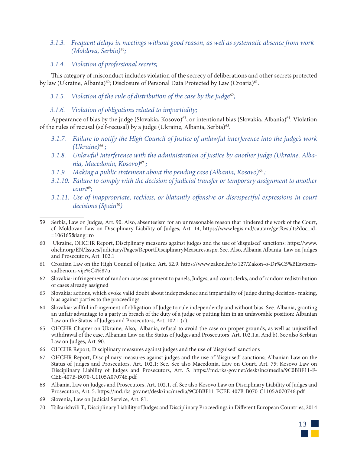*3.1.3. Frequent delays in meetings without good reason, as well as systematic absence from work (Moldova, Serbia)*<sup>59</sup>*;* 

#### *3.1.4. Violation of professional secrets;*

This category of misconduct includes violation of the secrecy of deliberations and other secrets protected by law (Ukraine, Albania)<sup>60</sup>; Disclosure of Personal Data Protected by Law (Croatia)<sup>61</sup>.

*3.1.5. Violation of the rule of distribution of the case by the judge*<sup>62</sup>*;* 

#### *3.1.6. Violation of obligations related to impartiality;*

Appearance of bias by the judge (Slovakia, Kosovo)<sup>63</sup>, or intentional bias (Slovakia, Albania)<sup>64</sup>. Violation of the rules of recusal (self-recusal) by a judge (Ukraine, Albania, Serbia)<sup>65</sup>.

- *3.1.7. Failure to notify the High Council of Justice of unlawful interference into the judge's work (Ukraine)*66 *;*
- *3.1.8. Unlawful interference with the administration of justice by another judge (Ukraine, Albania, Macedonia, Kosovo)*67 *;*
- *3.1.9. Making a public statement about the pending case (Albania, Kosovo)*68 *;*
- *3.1.10. Failure to comply with the decision of judicial transfer or temporary assignment to another court*69*;*
- *3.1.11. Use of inappropriate, reckless, or blatantly offensive or disrespectful expressions in court decisions (Spain*70*)*
- 59 Serbia, Law on Judges, Art. 90. Also, absenteeism for an unreasonable reason that hindered the work of the Court, cf. Moldovan Law on Disciplinary Liability of Judges, Art. 14, https://www.legis.md/cautare/getResults?doc\_id- =106165&lang=ro
- 60 Ukraine, OHCHR Report, Disciplinary measures against judges and the use of 'disguised' sanctions: https://www. ohchr.org/EN/Issues/Judiciary/Pages/ReportDisciplinaryMeasures.aspx; See. Also, Albania Albania, Law on Judges and Prosecutors, Art. 102.1
- 61 Croatian Law on the High Council of Justice, Art. 62.9. https://www.zakon.hr/z/127/Zakon-o-Dr%C5%BEavnomsudbenom-vije%C4%87u
- 62 Slovakia: infringement of random case assignment to panels, Judges, and court clerks, and of random redistribution of cases already assigned
- 63 Slovakia: actions, which evoke valid doubt about independence and impartiality of Judge during decision- making, bias against parties to the proceedings
- 64 Slovakia: willful infringement of obligation of Judge to rule independently and without bias. See. Albania, granting an unfair advantage to a party in breach of the duty of a judge or putting him in an unfavorable position: Albanian Law on the Status of Judges and Prosecutors, Art. 102.1 (c).
- 65 OHCHR Chapter on Ukraine; Also,. Albania, refusal to avoid the case on proper grounds, as well as unjustified withdrawal of the case, Albanian Law on the Status of Judges and Prosecutors, Art. 102.1.a. And b). See also Serbian Law on Judges, Art. 90.
- 66 OHCHR Report, Disciplinary measures against judges and the use of 'disguised' sanctions
- 67 OHCHR Report, Disciplinary measures against judges and the use of 'disguised' sanctions; Albanian Law on the Status of Judges and Prosecutors, Art. 102.1; See. See also Macedonia, Law on Court, Art. 75; Kosovo Law on Disciplinary Liability of Judges and Prosecutors, Art. 5. https://md.rks-gov.net/desk/inc/media/9C0BBF11-F-CEE-407B-B070-C1105A070746.pdf
- 68 Albania, Law on Judges and Prosecutors, Art. 102.1, cf. See also Kosovo Law on Disciplinary Liability of Judges and Prosecutors, Art. 5. https://md.rks-gov.net/desk/inc/media/9C0BBF11-FCEE-407B-B070-C1105A070746.pdf
- 69 Slovenia, Law on Judicial Service, Art. 81.
- 70 Tsikarishvili T., Disciplinary Liability of Judges and Disciplinary Proceedings in Different European Countries, 2014

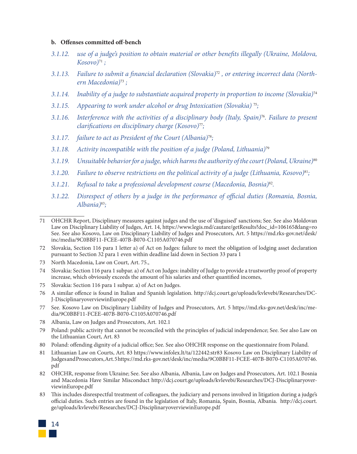#### **b. Offenses committed off-bench**

- *3.1.12. use of a judge's position to obtain material or other benefits illegally (Ukraine, Moldova, Kosovo)*71 *;*
- *3.1.13. Failure to submit a financial declaration (Slovakia)*72 *, or entering incorrect data (Northern Macedonia)*73 *;*
- *3.1.14. Inability of a judge to substantiate acquired property in proportion to income (Slovakia)*<sup>74</sup>
- *3.1.15. Appearing to work under alcohol or drug Intoxication (Slovakia)* 75*;*
- *3.1.16. Interference with the activities of a disciplinary body (Italy, Spain)*76*. Failure to present clarifications on disciplinary charge (Kosovo)*77*;*
- *3.1.17. failure to act as President of the Court (Albania)*78*;*
- *3.1.18. Activity incompatible with the position of a judge (Poland, Lithuania)*<sup>79</sup>
- *3.1.19. Unsuitable behavior for a judge, which harms the authority of the court (Poland, Ukraine)*<sup>80</sup>
- *3.1.20. Failure to observe restrictions on the political activity of a judge (Lithuania, Kosovo)*81*;*
- *3.1.21. Refusal to take a professional development course (Macedonia, Bosnia)*82*.*
- *3.1.22. Disrespect of others by a judge in the performance of official duties (Romania, Bosnia, Albania)*83*;*

- 73 North Macedonia, Law on Court, Art. 75.,
- 74 Slovakia: Section 116 para 1 subpar. a) of Act on Judges: inability of Judge to provide a trustworthy proof of property increase, which obviously exceeds the amount of his salaries and other quantified incomes,
- 75 Slovakia: Section 116 para 1 subpar. a) of Act on Judges.
- 76 A similar offence is found in Italian and Spanish legislation. http://dcj.court.ge/uploads/kvlevebi/Researches/DC-J-DisciplinaryoverviewinEurope.pdf
- 77 See. Kosovo Law on Disciplinary Liability of Judges and Prosecutors, Art. 5 https://md.rks-gov.net/desk/inc/media/9C0BBF11-FCEE-407B-B070-C1105A070746.pdf
- 78 Albania, Law on Judges and Prosecutors, Art. 102.1
- 79 Poland: public activity that cannot be reconciled with the principles of judicial independence; See. See also Law on the Lithuanian Court, Art. 83
- 80 Poland: offending dignity of a judicial office; See. See also OHCHR response on the questionnaire from Poland.
- 81 Lithuanian Law on Courts, Art. 83 https://www.infolex.lt/ta/122442:str83 Kosovo Law on Disciplinary Liability of Judges and Prosecutors, Art. 5 https://md.rks-gov.net/desk/inc/media/9C0BBF11-FCEE-407B-B070-C1105A070746. pdf
- 82 OHCHR, response from Ukraine; See. See also Albania, Albania, Law on Judges and Prosecutors, Art. 102.1 Bosnia and Macedonia Have Similar Misconduct http://dcj.court.ge/uploads/kvlevebi/Researches/DCJ-DisciplinaryoverviewinEurope.pdf
- 83 This includes disrespectful treatment of colleagues, the judiciary and persons involved in litigation during a judge's official duties. Such entries are found in the legislation of Italy, Romania, Spain, Bosnia, Albania. http://dcj.court. ge/uploads/kvlevebi/Researches/DCJ-DisciplinaryoverviewinEurope.pdf



<sup>71</sup> OHCHR Report, Disciplinary measures against judges and the use of 'disguised' sanctions; See. See also Moldovan Law on Disciplinary Liability of Judges, Art. 14, https://www.legis.md/cautare/getResults?doc\_id=106165&lang=ro See. See also Kosovo, Law on Disciplinary Liability of Judges and Prosecutors, Art. 5 https://md.rks-gov.net/desk/ inc/media/9C0BBF11-FCEE-407B-B070-C1105A070746.pdf

<sup>72</sup> Slovakia, Section 116 para 1 letter a) of Act on Judges: failure to meet the obligation of lodging asset declaration pursuant to Section 32 para 1 even within deadline laid down in Section 33 para 1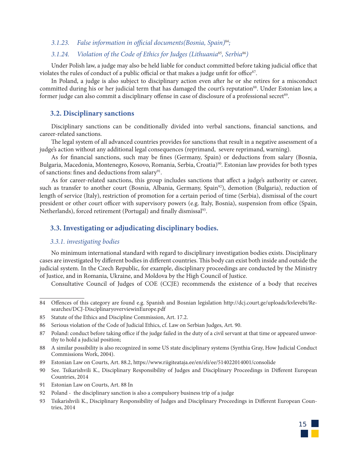#### *3.1.23. False information in official documents(Bosnia, Spain)*84*;*

#### *3.1.24. Violation of the Code of Ethics for Judges (Lithuania*85*, Serbia*86*)*

Under Polish law, a judge may also be held liable for conduct committed before taking judicial office that violates the rules of conduct of a public official or that makes a judge unfit for office $87$ .

In Poland, a judge is also subject to disciplinary action even after he or she retires for a misconduct committed during his or her judicial term that has damaged the court's reputation<sup>88</sup>. Under Estonian law, a former judge can also commit a disciplinary offense in case of disclosure of a professional secret<sup>89</sup>.

#### **3.2. Disciplinary sanctions**

Disciplinary sanctions can be conditionally divided into verbal sanctions, financial sanctions, and career-related sanctions.

The legal system of all advanced countries provides for sanctions that result in a negative assessment of a judge's action without any additional legal consequences (reprimand, severe reprimand, warning).

As for financial sanctions, such may be fines (Germany, Spain) or deductions from salary (Bosnia, Bulgaria, Macedonia, Montenegro, Kosovo, Romania, Serbia, Croatia)<sup>90</sup>. Estonian law provides for both types of sanctions: fines and deductions from salary<sup>91</sup>.

As for career-related sanctions, this group includes sanctions that affect a judge's authority or career, such as transfer to another court (Bosnia, Albania, Germany, Spain<sup>92</sup>), demotion (Bulgaria), reduction of length of service (Italy), restriction of promotion for a certain period of time (Serbia), dismissal of the court president or other court officer with supervisory powers (e.g. Italy, Bosnia), suspension from office (Spain, Netherlands), forced retirement (Portugal) and finally dismissal<sup>93</sup>.

#### **3.3. Investigating or adjudicating disciplinary bodies.**

#### *3.3.1. investigating bodies*

No minimum international standard with regard to disciplinary investigation bodies exists. Disciplinary cases are investigated by different bodies in different countries. This body can exist both inside and outside the judicial system. In the Czech Republic, for example, disciplinary proceedings are conducted by the Ministry of Justice, and in Romania, Ukraine, and Moldova by the High Council of Justice.

Consultative Council of Judges of COE (CCJE) recommends the existence of a body that receives

- 88 A similar possibility is also recognized in some US state disciplinary systems (Synthia Gray, How Judicial Conduct Commissions Work, 2004).
- 89 Estonian Law on Courts, Art. 88.2, https://www.riigiteataja.ee/en/eli/ee/514022014001/consolide
- 90 See. Tsikarishvili K., Disciplinary Responsibility of Judges and Disciplinary Proceedings in Different European Countries, 2014
- 91 Estonian Law on Courts, Art. 88 In
- 92 Poland the disciplinary sanction is also a compulsory business trip of a judge
- 93 Tsikarishvili K., Disciplinary Responsibility of Judges and Disciplinary Proceedings in Different European Countries, 2014



<sup>84</sup> Offences of this category are found e.g. Spanish and Bosnian legislation http://dcj.court.ge/uploads/kvlevebi/Researches/DCJ-DisciplinaryoverviewinEurope.pdf

<sup>85</sup> Statute of the Ethics and Discipline Commission, Art. 17.2.

<sup>86</sup> Serious violation of the Code of Judicial Ethics, cf. Law on Serbian Judges, Art. 90.

<sup>87</sup> Poland: conduct before taking office if the judge failed in the duty of a civil servant at that time or appeared unworthy to hold a judicial position;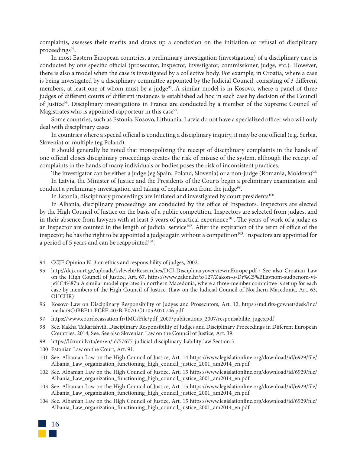complaints, assesses their merits and draws up a conclusion on the initiation or refusal of disciplinary proceedings<sup>94</sup>.

In most Eastern European countries, a preliminary investigation (investigation) of a disciplinary case is conducted by one specific official (prosecutor, inspector, investigator, commissioner, judge, etc.). However, there is also a model when the case is investigated by a collective body. For example, in Croatia, where a case is being investigated by a disciplinary committee appointed by the Judicial Council, consisting of 3 different members, at least one of whom must be a judge<sup>95</sup>. A similar model is in Kosovo, where a panel of three judges of different courts of different instances is established ad hoc in each case by decision of the Council of Justice<sup>96</sup>. Disciplinary investigations in France are conducted by a member of the Supreme Council of Magistrates who is appointed rapporteur in this case $97$ .

Some countries, such as Estonia, Kosovo, Lithuania, Latvia do not have a specialized officer who will only deal with disciplinary cases.

In countries where a special official is conducting a disciplinary inquiry, it may be one official (e.g. Serbia, Slovenia) or multiple (eg Poland).

It should generally be noted that monopolizing the receipt of disciplinary complaints in the hands of one official closes disciplinary proceedings creates the risk of misuse of the system, although the receipt of complaints in the hands of many individuals or bodies poses the risk of inconsistent practices.

The investigator can be either a judge (eg Spain, Poland, Slovenia) or a non-judge (Romania, Moldova)<sup>98.</sup>

In Latvia, the Minister of Justice and the Presidents of the Courts begin a preliminary examination and conduct a preliminary investigation and taking of explanation from the judge<sup>99</sup>.

In Estonia, disciplinary proceedings are initiated and investigated by court presidents<sup>100</sup>.

In Albania, disciplinary proceedings are conducted by the office of Inspectors. Inspectors are elected by the High Council of Justice on the basis of a public competition. Inspectors are selected from judges, and in their absence from lawyers with at least 5 years of practical experience<sup>101</sup>. The years of work of a judge as an inspector are counted in the length of judicial service<sup>102</sup>. After the expiration of the term of office of the inspector, he has the right to be appointed a judge again without a competition $103$ . Inspectors are appointed for a period of 5 years and can be reappointed $104$ .

97 https://www.courdecassation.fr/IMG/File/pdf\_2007/publications\_2007/responsabilite\_juges.pdf

- 99 https://likumi.lv/ta/en/en/id/57677-judicial-disciplinary-liability-law Section 3.
- 100 Estonian Law on the Court, Art. 91.
- 101 See. Albanian Law on the High Council of Justice, Art. 14 https://www.legislationline.org/download/id/6929/file/ Albania\_Law\_organization\_functioning\_high\_council\_justice\_2001\_am2014\_en.pdf
- 102 See. Albanian Law on the High Council of Justice, Art. 15 https://www.legislationline.org/download/id/6929/file/ Albania\_Law\_organization\_functioning\_high\_council\_justice\_2001\_am2014\_en.pdf
- 103 See. Albanian Law on the High Council of Justice, Art. 15 https://www.legislationline.org/download/id/6929/file/ Albania\_Law\_organization\_functioning\_high\_council\_justice\_2001\_am2014\_en.pdf
- 104 See. Albanian Law on the High Council of Justice, Art. 15 https://www.legislationline.org/download/id/6929/file/ Albania\_Law\_organization\_functioning\_high\_council\_justice\_2001\_am2014\_en.pdf



<sup>94</sup> CCJE Opinion N. 3 on ethics and responsibility of judges, 2002.

<sup>95</sup> http://dcj.court.ge/uploads/kvlevebi/Researches/DCJ-DisciplinaryoverviewinEurope.pdf ; See also Croatian Law on the High Council of Justice, Art. 67, https://www.zakon.hr/z/127/Zakon-o-Dr%C5%BEavnom-sudbenom-vije%C4%87u A similar model operates in northern Macedonia, where a three-member committee is set up for each case by members of the High Council of Justice. (Law on the Judicial Council of Northern Macedonia, Art. 63, OHCHR)

<sup>96</sup> Kosovo Law on Disciplinary Responsibility of Judges and Prosecutors, Art. 12, https://md.rks-gov.net/desk/inc/ media/9C0BBF11-FCEE-407B-B070-C1105A070746.pdf

<sup>98</sup> See. Kakha Tsikarishvili, Disciplinary Responsibility of Judges and Disciplinary Proceedings in Different European Countries, 2014; See. See also Slovenian Law on the Council of Justice, Art. 39.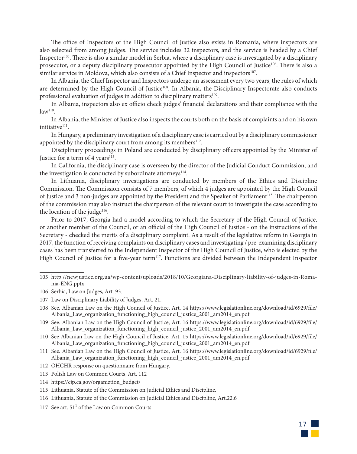The office of Inspectors of the High Council of Justice also exists in Romania, where inspectors are also selected from among judges. The service includes 32 inspectors, and the service is headed by a Chief Inspector<sup>105</sup>. There is also a similar model in Serbia, where a disciplinary case is investigated by a disciplinary prosecutor, or a deputy disciplinary prosecutor appointed by the High Council of Justice<sup>106</sup>. There is also a similar service in Moldova, which also consists of a Chief Inspector and inspectors<sup>107</sup>.

In Albania, the Chief Inspector and Inspectors undergo an assessment every two years, the rules of which are determined by the High Council of Justice<sup>108</sup>. In Albania, the Disciplinary Inspectorate also conducts professional evaluation of judges in addition to disciplinary matters<sup>109</sup>.

In Albania, inspectors also ex officio check judges' financial declarations and their compliance with the  $law<sup>110</sup>$ .

In Albania, the Minister of Justice also inspects the courts both on the basis of complaints and on his own initiative<sup>111</sup>.

In Hungary, a preliminary investigation of a disciplinary case is carried out by a disciplinary commissioner appointed by the disciplinary court from among its members $112$ .

Disciplinary proceedings in Poland are conducted by disciplinary officers appointed by the Minister of Justice for a term of 4 years<sup>113</sup>.

In California, the disciplinary case is overseen by the director of the Judicial Conduct Commission, and the investigation is conducted by subordinate attorneys<sup>114</sup>.

In Lithuania, disciplinary investigations are conducted by members of the Ethics and Discipline Commission. The Commission consists of 7 members, of which 4 judges are appointed by the High Council of Justice and 3 non-judges are appointed by the President and the Speaker of Parliament<sup>115</sup>. The chairperson of the commission may also instruct the chairperson of the relevant court to investigate the case according to the location of the judge<sup>116</sup>.

Prior to 2017, Georgia had a model according to which the Secretary of the High Council of Justice, or another member of the Council, or an official of the High Council of Justice - on the instructions of the Secretary - checked the merits of a disciplinary complaint. As a result of the legislative reform in Georgia in 2017, the function of receiving complaints on disciplinary cases and investigating / pre-examining disciplinary cases has been transferred to the Independent Inspector of the High Council of Justice, who is elected by the High Council of Justice for a five-year term<sup>117</sup>. Functions are divided between the Independent Inspector

113 Polish Law on Common Courts, Art. 112

<sup>105</sup> http://newjustice.org.ua/wp-content/uploads/2018/10/Georgiana-Disciplinary-liability-of-judges-in-Romania-ENG.pptx

<sup>106</sup> Serbia, Law on Judges, Art. 93.

<sup>107</sup> Law on Disciplinary Liability of Judges, Art. 21.

<sup>108</sup> See. Albanian Law on the High Council of Justice, Art. 14 https://www.legislationline.org/download/id/6929/file/ Albania\_Law\_organization\_functioning\_high\_council\_justice\_2001\_am2014\_en.pdf

<sup>109</sup> See. Albanian Law on the High Council of Justice, Art. 16 https://www.legislationline.org/download/id/6929/file/ Albania\_Law\_organization\_functioning\_high\_council\_justice\_2001\_am2014\_en.pdf

<sup>110</sup> See Albanian Law on the High Council of Justice, Art. 15 https://www.legislationline.org/download/id/6929/file/ Albania\_Law\_organization\_functioning\_high\_council\_justice\_2001\_am2014\_en.pdf

<sup>111</sup> See. Albanian Law on the High Council of Justice, Art. 16 https://www.legislationline.org/download/id/6929/file/ Albania\_Law\_organization\_functioning\_high\_council\_justice\_2001\_am2014\_en.pdf

<sup>112</sup> OHCHR response on questionnaire from Hungary.

<sup>114</sup> https://cjp.ca.gov/organiztion\_budget/

<sup>115</sup> Lithuania, Statute of the Commission on Judicial Ethics and Discipline.

<sup>116</sup> Lithuania, Statute of the Commission on Judicial Ethics and Discipline, Art.22.6

<sup>117</sup> See art.  $51<sup>1</sup>$  of the Law on Common Courts.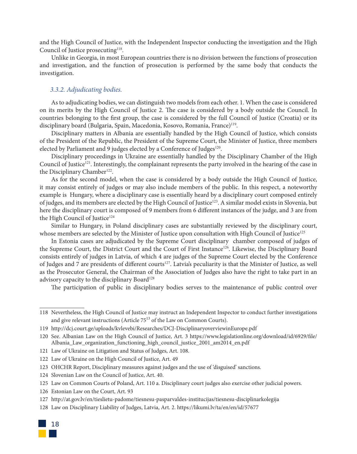and the High Council of Justice, with the Independent Inspector conducting the investigation and the High Council of Justice prosecuting<sup>118</sup>.

Unlike in Georgia, in most European countries there is no division between the functions of prosecution and investigation, and the function of prosecution is performed by the same body that conducts the investigation.

#### *3.3.2. Adjudicating bodies.*

As to adjudicating bodies, we can distinguish two models from each other. 1. When the case is considered on its merits by the High Council of Justice 2. The case is considered by a body outside the Council. In countries belonging to the first group, the case is considered by the full Council of Justice (Croatia) or its disciplinary board (Bulgaria, Spain, Macedonia, Kosovo, Romania, France)<sup>119</sup>.

Disciplinary matters in Albania are essentially handled by the High Council of Justice, which consists of the President of the Republic, the President of the Supreme Court, the Minister of Justice, three members elected by Parliament and 9 judges elected by a Conference of Judges<sup>120</sup>.

Disciplinary proceedings in Ukraine are essentially handled by the Disciplinary Chamber of the High Council of Justice<sup>121</sup>. Interestingly, the complainant represents the party involved in the hearing of the case in the Disciplinary Chamber<sup>122</sup>.

As for the second model, when the case is considered by a body outside the High Council of Justice, it may consist entirely of judges or may also include members of the public. In this respect, a noteworthy example is Hungary, where a disciplinary case is essentially heard by a disciplinary court composed entirely of judges, and its members are elected by the High Council of Justice<sup>123</sup>. A similar model exists in Slovenia, but here the disciplinary court is composed of 9 members from 6 different instances of the judge, and 3 are from the High Council of Justice<sup>124</sup>

Similar to Hungary, in Poland disciplinary cases are substantially reviewed by the disciplinary court, whose members are selected by the Minister of Justice upon consultation with High Council of Justice<sup>125</sup>

In Estonia cases are adjudicated by the Supreme Court disciplinary chamber composed of judges of the Supreme Court, the District Court and the Court of First Instance<sup>126</sup>. Likewise, the Disciplinary Board consists entirely of judges in Latvia, of which 4 are judges of the Supreme Court elected by the Conference of Judges and 7 are presidents of different courts<sup>127</sup>. Latvia's peculiarity is that the Minister of Justice, as well as the Prosecutor General, the Chairman of the Association of Judges also have the right to take part in an advisory capacity to the disciplinary Board<sup>128</sup>

The participation of public in disciplinary bodies serves to the maintenance of public control over

- 122 Law of Ukraine on the High Council of Justice, Art. 49
- 123 OHCHR Report, Disciplinary measures against judges and the use of 'disguised' sanctions.
- 124 Slovenian Law on the Council of Justice, Art. 40.
- 125 Law on Common Courts of Poland, Art. 110 a. Disciplinary court judges also exercise other judicial powers.
- 126 Estonian Law on the Court, Art. 93
- 127 http://at.gov.lv/en/tieslietu-padome/tiesnesu-pasparvaldes-institucijas/tiesnesu-disciplinarkolegija
- 128 Law on Disciplinary Liability of Judges, Latvia, Art. 2. https://likumi.lv/ta/en/en/id/57677



<sup>118</sup> Nevertheless, the High Council of Justice may instruct an Independent Inspector to conduct further investigations and give relevant instructions (Article 75<sup>13</sup> of the Law on Common Courts).

<sup>119</sup> http://dcj.court.ge/uploads/kvlevebi/Researches/DCJ-DisciplinaryoverviewinEurope.pdf

<sup>120</sup> See. Albanian Law on the High Council of Justice, Art. 3 https://www.legislationline.org/download/id/6929/file/ Albania\_Law\_organization\_functioning\_high\_council\_justice\_2001\_am2014\_en.pdf

<sup>121</sup> Law of Ukraine on Litigation and Status of Judges, Art. 108.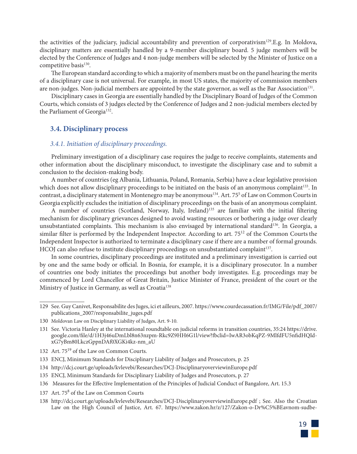the activities of the judiciary, judicial accountability and prevention of corporativism<sup>129</sup>.E.g. In Moldova, disciplinary matters are essentially handled by a 9-member disciplinary board. 5 judge members will be elected by the Conference of Judges and 4 non-judge members will be selected by the Minister of Justice on a competitive basis<sup>130</sup>.

The European standard according to which a majority of members must be on the panel hearing the merits of a disciplinary case is not universal. For example, in most US states, the majority of commission members are non-judges. Non-judicial members are appointed by the state governor, as well as the Bar Association<sup>131</sup>.

Disciplinary cases in Georgia are essentially handled by the Disciplinary Board of Judges of the Common Courts, which consists of 3 judges elected by the Conference of Judges and 2 non-judicial members elected by the Parliament of Georgia<sup>132</sup>.

#### **3.4. Disciplinary process**

#### *3.4.1. Initiation of disciplinary proceedings.*

Preliminary investigation of a disciplinary case requires the judge to receive complaints, statements and other information about the disciplinary misconduct, to investigate the disciplinary case and to submit a conclusion to the decision-making body.

A number of countries (eg Albania, Lithuania, Poland, Romania, Serbia) have a clear legislative provision which does not allow disciplinary proceedings to be initiated on the basis of an anonymous complaint<sup>133</sup>. In contrast, a disciplinary statement in Montenegro may be anonymous<sup>134</sup>. Art. 75<sup>5</sup> of Law on Common Courts in Georgia explicitly excludes the initiation of disciplinary proceedings on the basis of an anonymous complaint.

A number of countries (Scotland, Norway, Italy, Ireland)<sup>135</sup> are familiar with the initial filtering mechanism for disciplinary grievances designed to avoid wasting resources or bothering a judge over clearly unsubstantiated complaints. This mechanism is also envisaged by international standard<sup>136</sup>. In Georgia, a similar filter is performed by the Independent Inspector. According to art. 75<sup>12</sup> of the Common Courts the Independent Inspector is authorized to terminate a disciplinary case if there are a number of formal grounds. HCOJ can also refuse to institute disciplinary proceedings on unsubstantiated complaint<sup>137</sup>.

In some countries, disciplinary proceedings are instituted and a preliminary investigation is carried out by one and the same body or official. In Bosnia, for example, it is a disciplinary prosecutor. In a number of countries one body initiates the proceedings but another body investigates. E.g. proceedings may be commenced by Lord Chancellor of Great Britain, Justice Minister of France, president of the court or the Ministry of Justice in Germany, as well as Croatia<sup>138</sup>

132 Art. 75<sup>19</sup> of the Law on Common Courts.

- 134 http://dcj.court.ge/uploads/kvlevebi/Researches/DCJ-DisciplinaryoverviewinEurope.pdf
- 135 ENCJ, Minimum Standards for Disciplinary Liability of Judges and Prosecutors, p. 27
- 136 Measures for the Effective Implementation of the Principles of Judicial Conduct of Bangalore, Art. 15.3
- 137 Art. 75<sup>8</sup> of the Law on Common Courts
- 138 http://dcj.court.ge/uploads/kvlevebi/Researches/DCJ-DisciplinaryoverviewinEurope.pdf ; See. Also the Croatian Law on the High Council of Justice, Art. 67. https://www.zakon.hr/z/127/Zakon-o-Dr%C5%BEavnom-sudbe-



<sup>129</sup> See. Guy Canivet, Responsabilite des Juges, ici et ailleurs, 2007. https://www.courdecassation.fr/IMG/File/pdf\_2007/ publications\_2007/responsabilite\_juges.pdf

<sup>130</sup> Moldovan Law on Disciplinary Liability of Judges, Art. 9-10.

<sup>131</sup> See. Victoria Hanley at the international roundtable on judicial reforms in transition countries, 35:24 https://drive. google.com/file/d/1H3j46uDmLbl8n63nzpm-Rkc9Z9HH6G1l/view?fbclid=IwAR3obKqPZ-9MlfdFU5nfidHQIdxG7yBm80LkczGppnDAf0XGKi4kz-nm\_aU

<sup>133</sup> ENCJ, Minimum Standards for Disciplinary Liability of Judges and Prosecutors, p. 25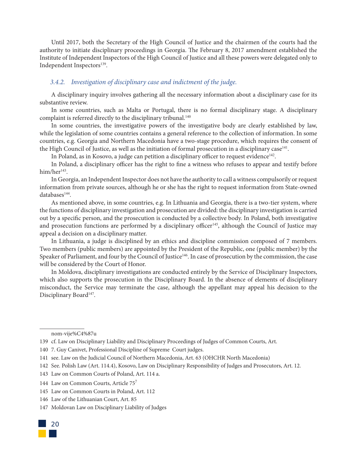Until 2017, both the Secretary of the High Council of Justice and the chairmen of the courts had the authority to initiate disciplinary proceedings in Georgia. The February 8, 2017 amendment established the Institute of Independent Inspectors of the High Council of Justice and all these powers were delegated only to Independent Inspectors<sup>139</sup>.

#### *3.4.2. Investigation of disciplinary case and indictment of the judge.*

A disciplinary inquiry involves gathering all the necessary information about a disciplinary case for its substantive review.

In some countries, such as Malta or Portugal, there is no formal disciplinary stage. A disciplinary complaint is referred directly to the disciplinary tribunal.<sup>140</sup>

In some countries, the investigative powers of the investigative body are clearly established by law, while the legislation of some countries contains a general reference to the collection of information. In some countries, e.g. Georgia and Northern Macedonia have a two-stage procedure, which requires the consent of the High Council of Justice, as well as the initiation of formal prosecution in a disciplinary case<sup>141</sup>.

In Poland, as in Kosovo, a judge can petition a disciplinary officer to request evidence $^{142}$ .

In Poland, a disciplinary officer has the right to fine a witness who refuses to appear and testify before  $him/her<sup>143</sup>$ .

In Georgia, an Independent Inspector does not have the authority to call a witness compulsorily or request information from private sources, although he or she has the right to request information from State-owned databases<sup>144</sup>.

As mentioned above, in some countries, e.g. In Lithuania and Georgia, there is a two-tier system, where the functions of disciplinary investigation and prosecution are divided: the disciplinary investigation is carried out by a specific person, and the prosecution is conducted by a collective body. In Poland, both investigative and prosecution functions are performed by a disciplinary officer<sup>145</sup>, although the Council of Justice may appeal a decision on a disciplinary matter.

In Lithuania, a judge is disciplined by an ethics and discipline commission composed of 7 members. Two members (public members) are appointed by the President of the Republic, one (public member) by the Speaker of Parliament, and four by the Council of Justice<sup>146</sup>. In case of prosecution by the commission, the case will be considered by the Court of Honor.

In Moldova, disciplinary investigations are conducted entirely by the Service of Disciplinary Inspectors, which also supports the prosecution in the Disciplinary Board. In the absence of elements of disciplinary misconduct, the Service may terminate the case, although the appellant may appeal his decision to the Disciplinary Board<sup>147</sup>.

nom-vije%C4%87u

140 7. Guy Canivet, Professional Discipline of Supreme Court judges.

142 See. Polish Law (Art. 114.4), Kosovo, Law on Disciplinary Responsibility of Judges and Prosecutors, Art. 12.

<sup>147</sup> Moldovan Law on Disciplinary Liability of Judges



<sup>139</sup> cf. Law on Disciplinary Liability and Disciplinary Proceedings of Judges of Common Courts, Art.

<sup>141</sup> see. Law on the Judicial Council of Northern Macedonia, Art. 63 (OHCHR North Macedonia)

<sup>143</sup> Law on Common Courts of Poland, Art. 114 a.

<sup>144</sup> Law on Common Courts, Article 75<sup>7</sup>

<sup>145</sup> Law on Common Courts in Poland, Art. 112

<sup>146</sup> Law of the Lithuanian Court, Art. 85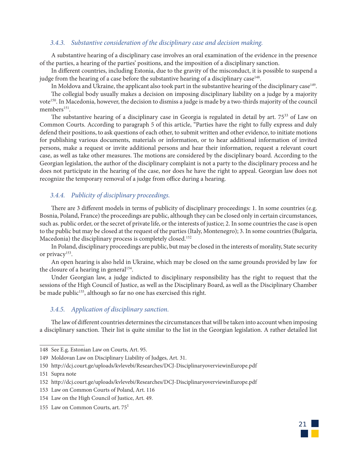#### *3.4.3. Substantive consideration of the disciplinary case and decision making.*

A substantive hearing of a disciplinary case involves an oral examination of the evidence in the presence of the parties, a hearing of the parties' positions, and the imposition of a disciplinary sanction.

In different countries, including Estonia, due to the gravity of the misconduct, it is possible to suspend a judge from the hearing of a case before the substantive hearing of a disciplinary case<sup>148</sup>.

In Moldova and Ukraine, the applicant also took part in the substantive hearing of the disciplinary case<sup>149</sup>.

The collegial body usually makes a decision on imposing disciplinary liability on a judge by a majority vote<sup>150</sup>. In Macedonia, however, the decision to dismiss a judge is made by a two-thirds majority of the council members<sup>151</sup>.

The substantive hearing of a disciplinary case in Georgia is regulated in detail by art. 75<sup>33</sup> of Law on Common Courts. According to paragraph 5 of this article, "Parties have the right to fully express and duly defend their positions, to ask questions of each other, to submit written and other evidence, to initiate motions for publishing various documents, materials or information, or to hear additional information of invited persons, make a request or invite additional persons and hear their information, request a relevant court case, as well as take other measures. The motions are considered by the disciplinary board. According to the Georgian legislation, the author of the disciplinary complaint is not a party to the disciplinary process and he does not participate in the hearing of the case, nor does he have the right to appeal. Georgian law does not recognize the temporary removal of a judge from office during a hearing.

#### *3.4.4. Publicity of disciplinary proceedings.*

There are 3 different models in terms of publicity of disciplinary proceedings: 1. In some countries (e.g. Bosnia, Poland, France) the proceedings are public, although they can be closed only in certain circumstances, such as. public order, or the secret of private life, or the interests of justice; 2. In some countries the case is open to the public but may be closed at the request of the parties (Italy, Montenegro); 3. In some countries (Bulgaria, Macedonia) the disciplinary process is completely closed.<sup>152</sup>

In Poland, disciplinary proceedings are public, but may be closed in the interests of morality, State security or privacy<sup>153</sup>.

An open hearing is also held in Ukraine, which may be closed on the same grounds provided by law for the closure of a hearing in general<sup>154</sup>.

Under Georgian law, a judge indicted to disciplinary responsibility has the right to request that the sessions of the High Council of Justice, as well as the Disciplinary Board, as well as the Disciplinary Chamber be made public<sup>155</sup>, although so far no one has exercised this right.

#### *3.4.5. Application of disciplinary sanction.*

The law of different countries determines the circumstances that will be taken into account when imposing a disciplinary sanction. Their list is quite similar to the list in the Georgian legislation. A rather detailed list



<sup>148</sup> See E.g. Estonian Law on Courts, Art. 95.

<sup>149</sup> Moldovan Law on Disciplinary Liability of Judges, Art. 31.

<sup>150</sup> http://dcj.court.ge/uploads/kvlevebi/Researches/DCJ-DisciplinaryoverviewinEurope.pdf

<sup>151</sup> Supra note

<sup>152</sup> http://dcj.court.ge/uploads/kvlevebi/Researches/DCJ-DisciplinaryoverviewinEurope.pdf

<sup>153</sup> Law on Common Courts of Poland, Art. 116

<sup>154</sup> Law on the High Council of Justice, Art. 49.

<sup>155</sup> Law on Common Courts, art.  $75<sup>1</sup>$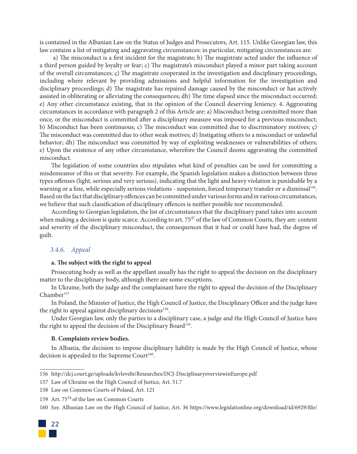is contained in the Albanian Law on the Status of Judges and Prosecutors, Art. 115. Unlike Georgian law, this law contains a list of mitigating and aggravating circumstances: in particular, mitigating circumstances are:

 a) The misconduct is a first incident for the magistrate; b) The magistrate acted under the influence of a third person guided by loyalty or fear; c) The magistrate's misconduct played a minor part taking account of the overall circumstances; ç) The magistrate cooperated in the investigation and disciplinary proceedings, including where relevant by providing admissions and helpful information for the investigation and disciplinary proceedings; d) The magistrate has repaired damage caused by the misconduct or has actively assisted in obliterating or alleviating the consequences; dh) The time elapsed since the misconduct occurred; e) Any other circumstance existing, that in the opinion of the Council deserving leniency. 4. Aggravating circumstances in accordance with paragraph 2 of this Article are: a) Misconduct being committed more than once, or the misconduct is committed after a disciplinary measure was imposed for a previous misconduct; b) Misconduct has been continuous; c) The misconduct was committed due to discriminatory motives; ç) The misconduct was committed due to other weak motives; d) Instigating others to a misconduct or unlawful behavior; dh) The misconduct was committed by way of exploiting weaknesses or vulnerabilities of others; e) Upon the existence of any other circumstance, wherefore the Council deems aggravating the committed misconduct.

The legislation of some countries also stipulates what kind of penalties can be used for committing a misdemeanor of this or that severity. For example, the Spanish legislation makes a distinction between three types offenses (light, serious and very serious), indicating that the light and heavy violation is punishable by a warning or a fine, while especially serious violations - suspension, forced temporary transfer or a dismissal<sup>156</sup>. Based on the fact that disciplinary offences can be committed under various forms and in various circumstances, we believe that such classification of disciplinary offences is neither possible nor recommended.

According to Georgian legislation, the list of circumstances that the disciplinary panel takes into account when making a decision is quite scarce. According to art. 75<sup>47</sup> of the law of Common Courts, they are: content and severity of the disciplinary misconduct, the consequences that it had or could have had, the degree of guilt.

#### *3.4.6. Appeal*

#### **a. The subject with the right to appeal**

Prosecuting body as well as the appellant usually has the right to appeal the decision on the disciplinary matter to the disciplinary body, although there are some exceptions.

In Ukraine, both the judge and the complainant have the right to appeal the decision of the Disciplinary Chamber<sup>157</sup>

In Poland, the Minister of Justice, the High Council of Justice, the Disciplinary Officer and the judge have the right to appeal against disciplinary decisions<sup>158</sup>.

Under Georgian law, only the parties to a disciplinary case, a judge and the High Council of Justice have the right to appeal the decision of the Disciplinary Board<sup>159</sup>.

#### **B. Complaints review bodies.**

In Albania, the decision to impose disciplinary liability is made by the High Council of Justice, whose decision is appealed to the Supreme Court<sup>160</sup>.

<sup>160</sup> See. Albanian Law on the High Council of Justice, Art. 36 https://www.legislationline.org/download/id/6929/file/



<sup>156</sup> http://dcj.court.ge/uploads/kvlevebi/Researches/DCJ-DisciplinaryoverviewinEurope.pdf

<sup>157</sup> Law of Ukraine on the High Council of Justice, Art. 51.7

<sup>158</sup> Law on Common Courts of Poland, Art. 121

<sup>159</sup> Art. 75<sup>54</sup> of the law on Common Courts<sup>.</sup>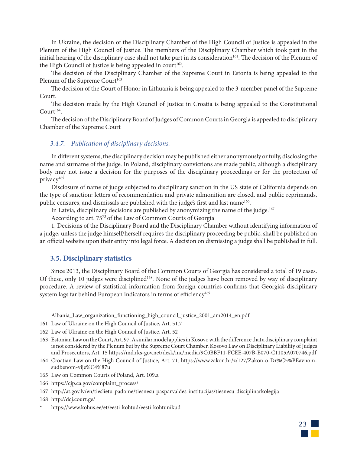In Ukraine, the decision of the Disciplinary Chamber of the High Council of Justice is appealed in the Plenum of the High Council of Justice. The members of the Disciplinary Chamber which took part in the initial hearing of the disciplinary case shall not take part in its consideration<sup> $161$ </sup>. The decision of the Plenum of the High Council of Justice is being appealed in court<sup>162</sup>.

The decision of the Disciplinary Chamber of the Supreme Court in Estonia is being appealed to the Plenum of the Supreme Court<sup>163</sup>

The decision of the Court of Honor in Lithuania is being appealed to the 3-member panel of the Supreme Court.

The decision made by the High Council of Justice in Croatia is being appealed to the Constitutional  $C$ ourt $164$ .

The decision of the Disciplinary Board of Judges of Common Courts in Georgia is appealed to disciplinary Chamber of the Supreme Court

#### *3.4.7. Publication of disciplinary decisions.*

In different systems, the disciplinary decision may be published either anonymously or fully, disclosing the name and surname of the judge. In Poland, disciplinary convictions are made public, although a disciplinary body may not issue a decision for the purposes of the disciplinary proceedings or for the protection of privacy<sup>165</sup>.

Disclosure of name of judge subjected to disciplinary sanction in the US state of California depends on the type of sanction: letters of recommendation and private admonition are closed, and public reprimands, public censures, and dismissals are published with the judge's first and last name<sup>166</sup>.

In Latvia, disciplinary decisions are published by anonymizing the name of the judge.<sup>167</sup>

According to art. 75<sup>73</sup> of the Law of Common Courts of Georgia

1. Decisions of the Disciplinary Board and the Disciplinary Chamber without identifying information of a judge, unless the judge himself/herself requires the disciplinary proceeding be public, shall be published on an official website upon their entry into legal force. A decision on dismissing a judge shall be published in full.

#### **3.5. Disciplinary statistics**

Since 2013, the Disciplinary Board of the Common Courts of Georgia has considered a total of 19 cases. Of these, only 10 judges were disciplined<sup>168</sup>. None of the judges have been removed by way of disciplinary procedure. A review of statistical information from foreign countries confirms that Georgia's disciplinary system lags far behind European indicators in terms of efficiency<sup>169</sup>.



Albania\_Law\_organization\_functioning\_high\_council\_justice\_2001\_am2014\_en.pdf

<sup>161</sup> Law of Ukraine on the High Council of Justice, Art. 51.7

<sup>162</sup> Law of Ukraine on the High Council of Justice, Art. 52

<sup>163</sup> Estonian Law on the Court, Art. 97. A similar model applies in Kosovo with the difference that a disciplinary complaint is not considered by the Plenum but by the Supreme Court Chamber. Kosovo Law on Disciplinary Liability of Judges and Prosecutors, Art. 15 https://md.rks-gov.net/desk/inc/media/9C0BBF11-FCEE-407B-B070-C1105A070746.pdf

<sup>164</sup> Croatian Law on the High Council of Justice, Art. 71. https://www.zakon.hr/z/127/Zakon-o-Dr%C5%BEavnomsudbenom-vije%C4%87u

<sup>165</sup> Law on Common Courts of Poland, Art. 109.a

<sup>166</sup> https://cjp.ca.gov/complaint\_process/

<sup>167</sup> http://at.gov.lv/en/tieslietu-padome/tiesnesu-pasparvaldes-institucijas/tiesnesu-disciplinarkolegija

<sup>168</sup> http://dcj.court.ge/

https://www.kohus.ee/et/eesti-kohtud/eesti-kohtunikud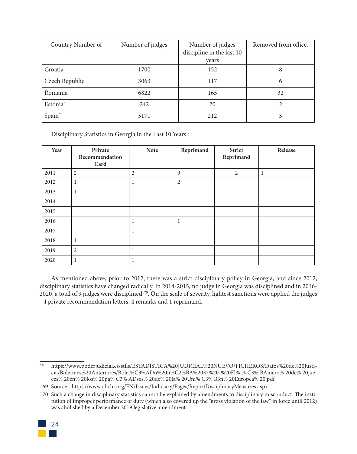| Country Number of    | Number of judges | Number of judges<br>discipline in the last 10<br>vears | Removed from office. |
|----------------------|------------------|--------------------------------------------------------|----------------------|
| Croatia              | 1700             | 152                                                    | 8                    |
| Czech Republic       | 3063             | 117                                                    | 6                    |
| Romania              | 6822             | 165                                                    | 32                   |
| Estonia <sup>*</sup> | 242              | 20                                                     | 2                    |
| Spain**              | 5171             | 212                                                    |                      |

Disciplinary Statistics in Georgia in the Last 10 Years :

| Year | Private<br>Recommendation<br>Card | <b>Note</b> | Reprimand      | <b>Strict</b><br>Reprimand | Release |
|------|-----------------------------------|-------------|----------------|----------------------------|---------|
| 2011 | $\overline{2}$                    | 2           | 9              | $\overline{2}$             | 1       |
| 2012 | $\mathbf{1}$                      |             | $\overline{2}$ |                            |         |
| 2013 | $\mathbf{1}$                      |             |                |                            |         |
| 2014 |                                   |             |                |                            |         |
| 2015 |                                   |             |                |                            |         |
| 2016 |                                   |             | 1              |                            |         |
| 2017 |                                   |             |                |                            |         |
| 2018 | $\mathbf{1}$                      |             |                |                            |         |
| 2019 | $\overline{2}$                    |             |                |                            |         |
| 2020 | 1                                 |             |                |                            |         |

As mentioned above, prior to 2012, there was a strict disciplinary policy in Georgia, and since 2012, disciplinary statistics have changed radically. In 2014-2015, no judge in Georgia was disciplined and in 2016- 2020, a total of 9 judges were disciplined<sup>170</sup>. On the scale of severity, lightest sanctions were applied the judges - 4 private recommendation letters, 4 remarks and 1 reprimand.

<sup>170</sup> Such a change in disciplinary statistics cannot be explained by amendments to disciplinary misconduct. The institution of improper performance of duty (which also covered up the "gross violation of the law" in force until 2012) was abolished by a December 2019 legislative amendment.



<sup>\*\*</sup> https://www.poderjudicial.es/stfls/ESTADISTICA%20JUDICIAL%20NUEVO/FICHEROS/Datos%20de%20Justicia/Boletines%20Anteriores/Bolet%C3%ADn%20n%C2%BA%2037%20-%20El% % C3% BAmero% 20de% 20jueces% 20en% 20los% 20pa% C3% ADses% 20de% 20la% 20Uni% C3% B3n% 20Europea% 20.pdf

<sup>169</sup> Source - https://www.ohchr.org/EN/Issues/Judiciary/Pages/ReportDisciplinaryMeasures.aspx